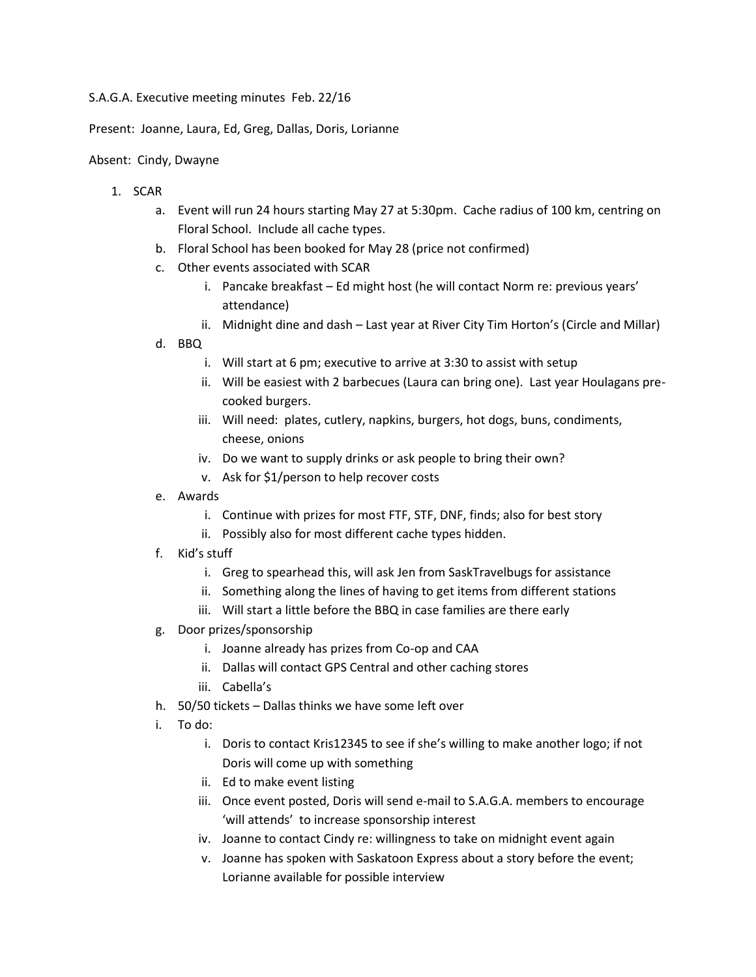## S.A.G.A. Executive meeting minutes Feb. 22/16

Present: Joanne, Laura, Ed, Greg, Dallas, Doris, Lorianne

## Absent: Cindy, Dwayne

- 1. SCAR
	- a. Event will run 24 hours starting May 27 at 5:30pm. Cache radius of 100 km, centring on Floral School. Include all cache types.
	- b. Floral School has been booked for May 28 (price not confirmed)
	- c. Other events associated with SCAR
		- i. Pancake breakfast Ed might host (he will contact Norm re: previous years' attendance)
		- ii. Midnight dine and dash Last year at River City Tim Horton's (Circle and Millar)
	- d. BBQ
		- i. Will start at 6 pm; executive to arrive at 3:30 to assist with setup
		- ii. Will be easiest with 2 barbecues (Laura can bring one). Last year Houlagans precooked burgers.
		- iii. Will need: plates, cutlery, napkins, burgers, hot dogs, buns, condiments, cheese, onions
		- iv. Do we want to supply drinks or ask people to bring their own?
		- v. Ask for \$1/person to help recover costs
	- e. Awards
		- i. Continue with prizes for most FTF, STF, DNF, finds; also for best story
		- ii. Possibly also for most different cache types hidden.
	- f. Kid's stuff
		- i. Greg to spearhead this, will ask Jen from SaskTravelbugs for assistance
		- ii. Something along the lines of having to get items from different stations
		- iii. Will start a little before the BBQ in case families are there early
	- g. Door prizes/sponsorship
		- i. Joanne already has prizes from Co-op and CAA
		- ii. Dallas will contact GPS Central and other caching stores
		- iii. Cabella's
	- h. 50/50 tickets Dallas thinks we have some left over
	- i. To do:
		- i. Doris to contact Kris12345 to see if she's willing to make another logo; if not Doris will come up with something
		- ii. Ed to make event listing
		- iii. Once event posted, Doris will send e-mail to S.A.G.A. members to encourage 'will attends' to increase sponsorship interest
		- iv. Joanne to contact Cindy re: willingness to take on midnight event again
		- v. Joanne has spoken with Saskatoon Express about a story before the event; Lorianne available for possible interview